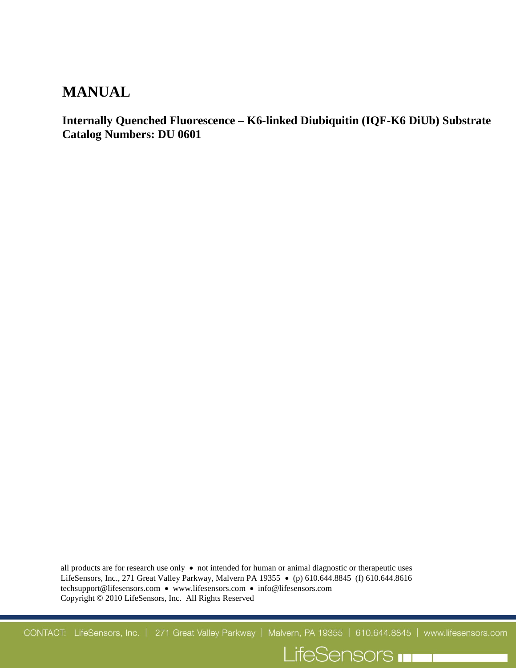# **MANUAL**

**Internally Quenched Fluorescence – K6-linked Diubiquitin (IQF-K6 DiUb) Substrate Catalog Numbers: DU 0601**

all products are for research use only  $\bullet$  not intended for human or animal diagnostic or therapeutic uses LifeSensors, Inc., 271 Great Valley Parkway, Malvern PA 19355 • (p) 610.644.8845 (f) 610.644.8616 techsupport@lifesensors.com • www.lifesensors.com • info@lifesensors.com Copyright © 2010 LifeSensors, Inc. All Rights Reserved

CONTACT: LifeSensors, Inc. | 271 Great Valley Parkway | Malvern, PA 19355 | 610.644.8845 | www.lifesensors.com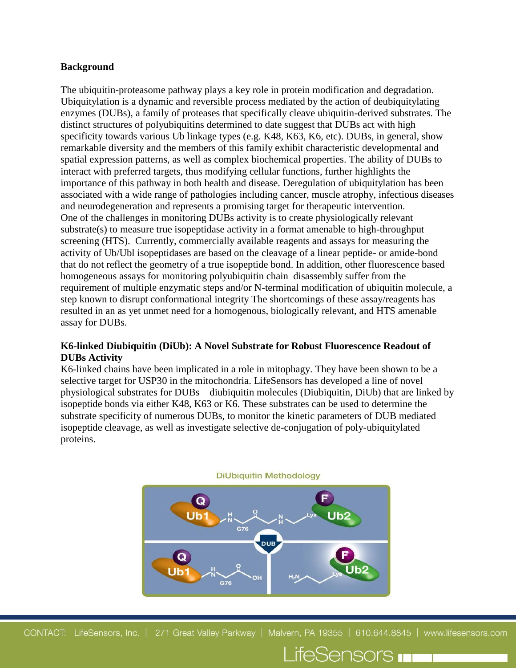#### **Background**

The ubiquitin-proteasome pathway plays a key role in protein modification and degradation. Ubiquitylation is a dynamic and reversible process mediated by the action of deubiquitylating enzymes (DUBs), a family of proteases that specifically cleave ubiquitin-derived substrates. The distinct structures of polyubiquitins determined to date suggest that DUBs act with high specificity towards various Ub linkage types (e.g. K48, K63, K6, etc). DUBs, in general, show remarkable diversity and the members of this family exhibit characteristic developmental and spatial expression patterns, as well as complex biochemical properties. The ability of DUBs to interact with preferred targets, thus modifying cellular functions, further highlights the importance of this pathway in both health and disease. Deregulation of ubiquitylation has been associated with a wide range of pathologies including cancer, muscle atrophy, infectious diseases and neurodegeneration and represents a promising target for therapeutic intervention. One of the challenges in monitoring DUBs activity is to create physiologically relevant substrate(s) to measure true isopeptidase activity in a format amenable to high-throughput screening (HTS). Currently, commercially available reagents and assays for measuring the activity of Ub/Ubl isopeptidases are based on the cleavage of a linear peptide- or amide-bond that do not reflect the geometry of a true isopeptide bond. In addition, other fluorescence based homogeneous assays for monitoring polyubiquitin chain disassembly suffer from the requirement of multiple enzymatic steps and/or N-terminal modification of ubiquitin molecule, a step known to disrupt conformational integrity The shortcomings of these assay/reagents has resulted in an as yet unmet need for a homogenous, biologically relevant, and HTS amenable assay for DUBs.

# **K6-linked Diubiquitin (DiUb): A Novel Substrate for Robust Fluorescence Readout of DUBs Activity**

K6-linked chains have been implicated in a role in mitophagy. They have been shown to be a selective target for USP30 in the mitochondria. LifeSensors has developed a line of novel physiological substrates for DUBs – diubiquitin molecules (Diubiquitin, DiUb) that are linked by isopeptide bonds via either K48, K63 or K6. These substrates can be used to determine the substrate specificity of numerous DUBs, to monitor the kinetic parameters of DUB mediated isopeptide cleavage, as well as investigate selective de-conjugation of poly-ubiquitylated proteins.



CONTACT: LifeSensors, Inc. | 271 Great Valley Parkway | Malvern, PA 19355 | 610.644.8845 | www.lifesensors.com

LifeSensors **In Li**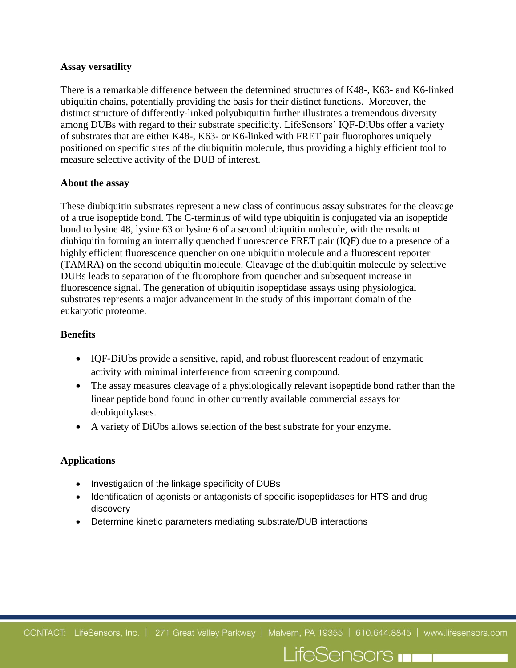#### **Assay versatility**

There is a remarkable difference between the determined structures of K48-, K63- and K6-linked ubiquitin chains, potentially providing the basis for their distinct functions. Moreover, the distinct structure of differently-linked polyubiquitin further illustrates a tremendous diversity among DUBs with regard to their substrate specificity. LifeSensors' IQF-DiUbs offer a variety of substrates that are either K48-, K63- or K6-linked with FRET pair fluorophores uniquely positioned on specific sites of the diubiquitin molecule, thus providing a highly efficient tool to measure selective activity of the DUB of interest.

#### **About the assay**

These diubiquitin substrates represent a new class of continuous assay substrates for the cleavage of a true isopeptide bond. The C-terminus of wild type ubiquitin is conjugated via an isopeptide bond to lysine 48, lysine 63 or lysine 6 of a second ubiquitin molecule, with the resultant diubiquitin forming an internally quenched fluorescence FRET pair (IQF) due to a presence of a highly efficient fluorescence quencher on one ubiquitin molecule and a fluorescent reporter (TAMRA) on the second ubiquitin molecule. Cleavage of the diubiquitin molecule by selective DUBs leads to separation of the fluorophore from quencher and subsequent increase in fluorescence signal. The generation of ubiquitin isopeptidase assays using physiological substrates represents a major advancement in the study of this important domain of the eukaryotic proteome.

#### **Benefits**

- IQF-DiUbs provide a sensitive, rapid, and robust fluorescent readout of enzymatic activity with minimal interference from screening compound.
- The assay measures cleavage of a physiologically relevant isopeptide bond rather than the linear peptide bond found in other currently available commercial assays for deubiquitylases.
- A variety of DiUbs allows selection of the best substrate for your enzyme.

#### **Applications**

- Investigation of the linkage specificity of DUBs
- Identification of agonists or antagonists of specific isopeptidases for HTS and drug discovery
- Determine kinetic parameters mediating substrate/DUB interactions

CONTACT: LifeSensors, Inc. | 271 Great Valley Parkway | Malvern, PA 19355 | 610.644.8845 | www.lifesensors.com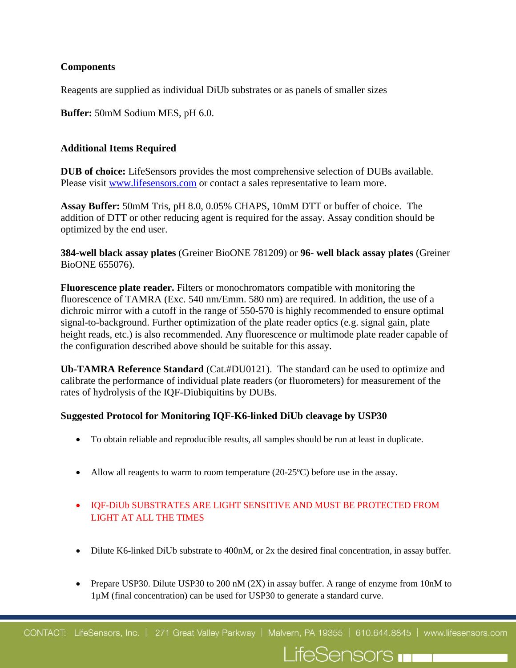# **Components**

Reagents are supplied as individual DiUb substrates or as panels of smaller sizes

**Buffer:** 50mM Sodium MES, pH 6.0.

# **Additional Items Required**

**DUB of choice:** LifeSensors provides the most comprehensive selection of DUBs available. Please visit [www.lifesensors.com](http://www.lifesensors.com/) or contact a sales representative to learn more.

**Assay Buffer:** 50mM Tris, pH 8.0, 0.05% CHAPS, 10mM DTT or buffer of choice. The addition of DTT or other reducing agent is required for the assay. Assay condition should be optimized by the end user.

**384-well black assay plates** (Greiner BioONE 781209) or **96- well black assay plates** (Greiner BioONE 655076).

**Fluorescence plate reader.** Filters or monochromators compatible with monitoring the fluorescence of TAMRA (Exc. 540 nm/Emm. 580 nm) are required. In addition, the use of a dichroic mirror with a cutoff in the range of 550-570 is highly recommended to ensure optimal signal-to-background. Further optimization of the plate reader optics (e.g. signal gain, plate height reads, etc.) is also recommended. Any fluorescence or multimode plate reader capable of the configuration described above should be suitable for this assay.

**Ub-TAMRA Reference Standard** (Cat.#DU0121). The standard can be used to optimize and calibrate the performance of individual plate readers (or fluorometers) for measurement of the rates of hydrolysis of the IQF-Diubiquitins by DUBs.

#### **Suggested Protocol for Monitoring IQF-K6-linked DiUb cleavage by USP30**

- To obtain reliable and reproducible results, all samples should be run at least in duplicate.
- Allow all reagents to warm to room temperature  $(20-25^{\circ}\text{C})$  before use in the assay.
- IQF-DiUb SUBSTRATES ARE LIGHT SENSITIVE AND MUST BE PROTECTED FROM LIGHT AT ALL THE TIMES
- Dilute K6-linked DiUb substrate to 400nM, or 2x the desired final concentration, in assay buffer.
- Prepare USP30. Dilute USP30 to 200 nM  $(2X)$  in assay buffer. A range of enzyme from 10nM to 1µM (final concentration) can be used for USP30 to generate a standard curve.

LifeSensors **In the late**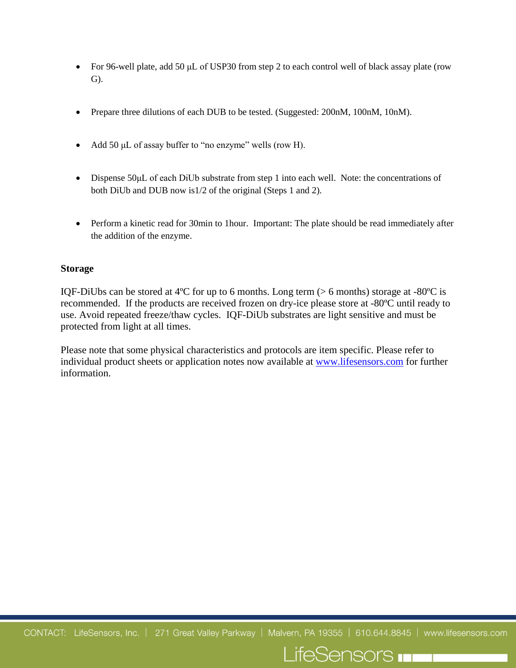- For 96-well plate, add 50 µL of USP30 from step 2 to each control well of black assay plate (row G).
- Prepare three dilutions of each DUB to be tested. (Suggested: 200nM, 100nM, 10nM).
- Add 50  $\mu$ L of assay buffer to "no enzyme" wells (row H).
- Dispense 50µL of each DiUb substrate from step 1 into each well. Note: the concentrations of both DiUb and DUB now is1/2 of the original (Steps 1 and 2).
- Perform a kinetic read for 30min to 1hour. Important: The plate should be read immediately after the addition of the enzyme.

#### **Storage**

IQF-DiUbs can be stored at 4<sup>o</sup>C for up to 6 months. Long term ( $> 6$  months) storage at -80<sup>o</sup>C is recommended. If the products are received frozen on dry-ice please store at -80ºC until ready to use. Avoid repeated freeze/thaw cycles. IQF-DiUb substrates are light sensitive and must be protected from light at all times.

Please note that some physical characteristics and protocols are item specific. Please refer to individual product sheets or application notes now available at [www.lifesensors.com](http://www.lifesensors.com/) for further information.

CONTACT: LifeSensors, Inc. | 271 Great Valley Parkway | Malvern, PA 19355 | 610.644.8845 | www.lifesensors.com